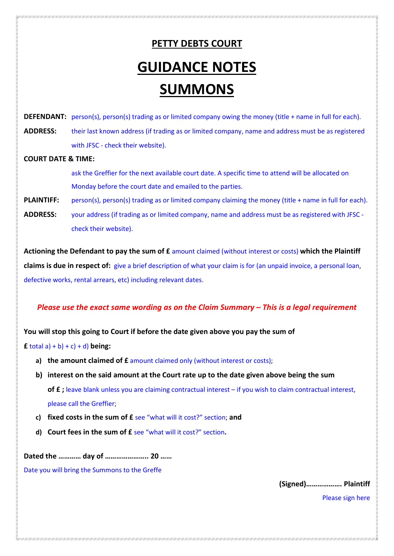# PETTY DEBTS COURT GUIDANCE NOTES SUMMONS

DEFENDANT: person(s), person(s) trading as or limited company owing the money (title + name in full for each). ADDRESS: their last known address (if trading as or limited company, name and address must be as registered with JFSC - check their website).

#### COURT DATE & TIME:

ask the Greffier for the next available court date. A specific time to attend will be allocated on Monday before the court date and emailed to the parties.

- PLAINTIFF: person(s), person(s) trading as or limited company claiming the money (title + name in full for each).
- ADDRESS: your address (if trading as or limited company, name and address must be as registered with JFSC check their website).

Actioning the Defendant to pay the sum of £ amount claimed (without interest or costs) which the Plaintiff claims is due in respect of: give a brief description of what your claim is for (an unpaid invoice, a personal loan, defective works, rental arrears, etc) including relevant dates.

Please use the exact same wording as on the Claim Summary – This is a legal requirement

### You will stop this going to Court if before the date given above you pay the sum of

**f** total a) + b) + c) + d) being:

- a) the amount claimed of  $f$  amount claimed only (without interest or costs);
- b) interest on the said amount at the Court rate up to the date given above being the sum of £; leave blank unless you are claiming contractual interest – if you wish to claim contractual interest, please call the Greffier;
- c) fixed costs in the sum of £ see "what will it cost?" section; and
- d) Court fees in the sum of £ see "what will it cost?" section.

Dated the ………… day of ………………….. 20 ……

Date you will bring the Summons to the Greffe

(Signed)………………. Plaintiff

Please sign here